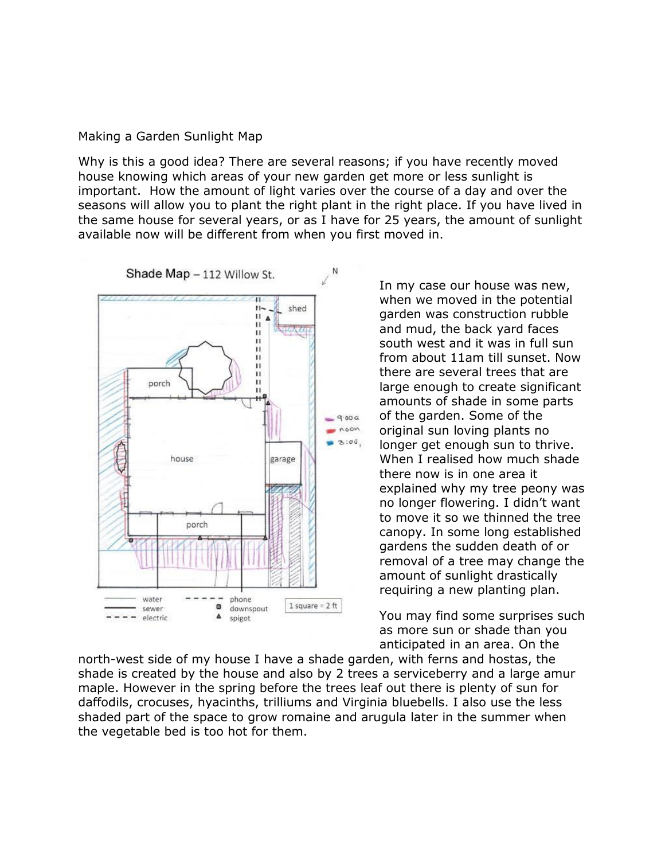## Making a Garden Sunlight Map

Why is this a good idea? There are several reasons; if you have recently moved house knowing which areas of your new garden get more or less sunlight is important. How the amount of light varies over the course of a day and over the seasons will allow you to plant the right plant in the right place. If you have lived in the same house for several years, or as I have for 25 years, the amount of sunlight available now will be different from when you first moved in.



In my case our house was new, when we moved in the potential garden was construction rubble and mud, the back yard faces south west and it was in full sun from about 11am till sunset. Now there are several trees that are large enough to create significant amounts of shade in some parts of the garden. Some of the original sun loving plants no longer get enough sun to thrive. When I realised how much shade there now is in one area it explained why my tree peony was no longer flowering. I didn't want to move it so we thinned the tree canopy. In some long established gardens the sudden death of or removal of a tree may change the amount of sunlight drastically requiring a new planting plan.

You may find some surprises such as more sun or shade than you anticipated in an area. On the

north-west side of my house I have a shade garden, with ferns and hostas, the shade is created by the house and also by 2 trees a serviceberry and a large amur maple. However in the spring before the trees leaf out there is plenty of sun for daffodils, crocuses, hyacinths, trilliums and Virginia bluebells. I also use the less shaded part of the space to grow romaine and arugula later in the summer when the vegetable bed is too hot for them.